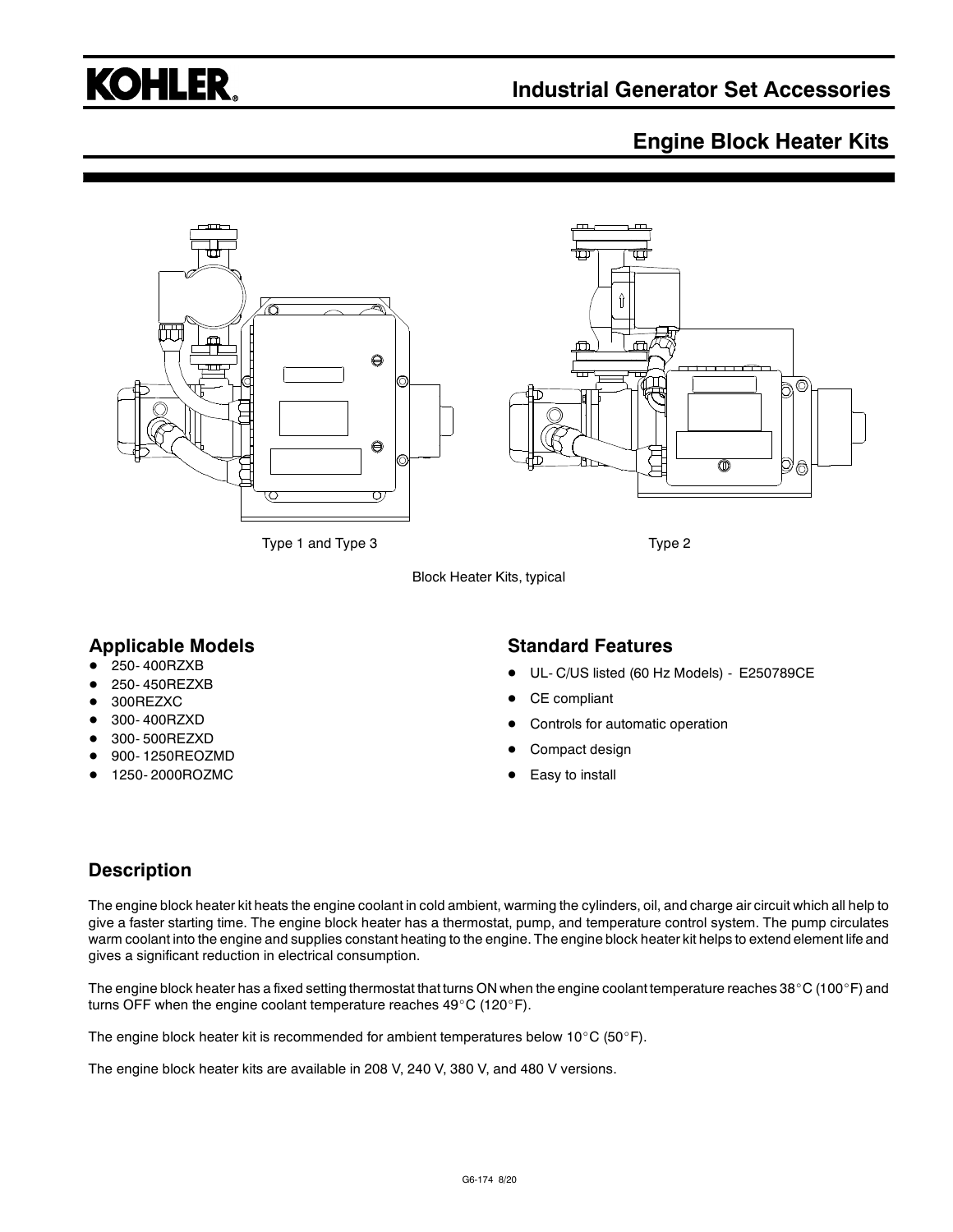# **KOHLER.**

# **Industrial Generator Set Accessories**

## **Engine Block Heater Kits**



Block Heater Kits, typical

#### **Applicable Models**

- 250- 400RZXB
- 250- 450REZXB
- 300REZXC
- 300- 400RZXD
- 300- 500REZXD
- 900- 1250REOZMD
- 1250- 2000ROZMC

#### **Standard Features**

- UL- C/US listed (60 Hz Models) E250789CE
- CE compliant
- Controls for automatic operation
- Compact design
- Easy to install

#### **Description**

The engine block heater kit heats the engine coolant in cold ambient, warming the cylinders, oil, and charge air circuit which all help to give a faster starting time. The engine block heater has a thermostat, pump, and temperature control system. The pump circulates warm coolant into the engine and supplies constant heating to the engine. The engine block heater kit helps to extend element life and gives a significant reduction in electrical consumption.

The engine block heater has a fixed setting thermostat that turns ON when the engine coolant temperature reaches 38°C (100°F) and turns OFF when the engine coolant temperature reaches  $49^{\circ}$ C (120 $^{\circ}$ F).

The engine block heater kit is recommended for ambient temperatures below 10°C (50°F).

The engine block heater kits are available in 208 V, 240 V, 380 V, and 480 V versions.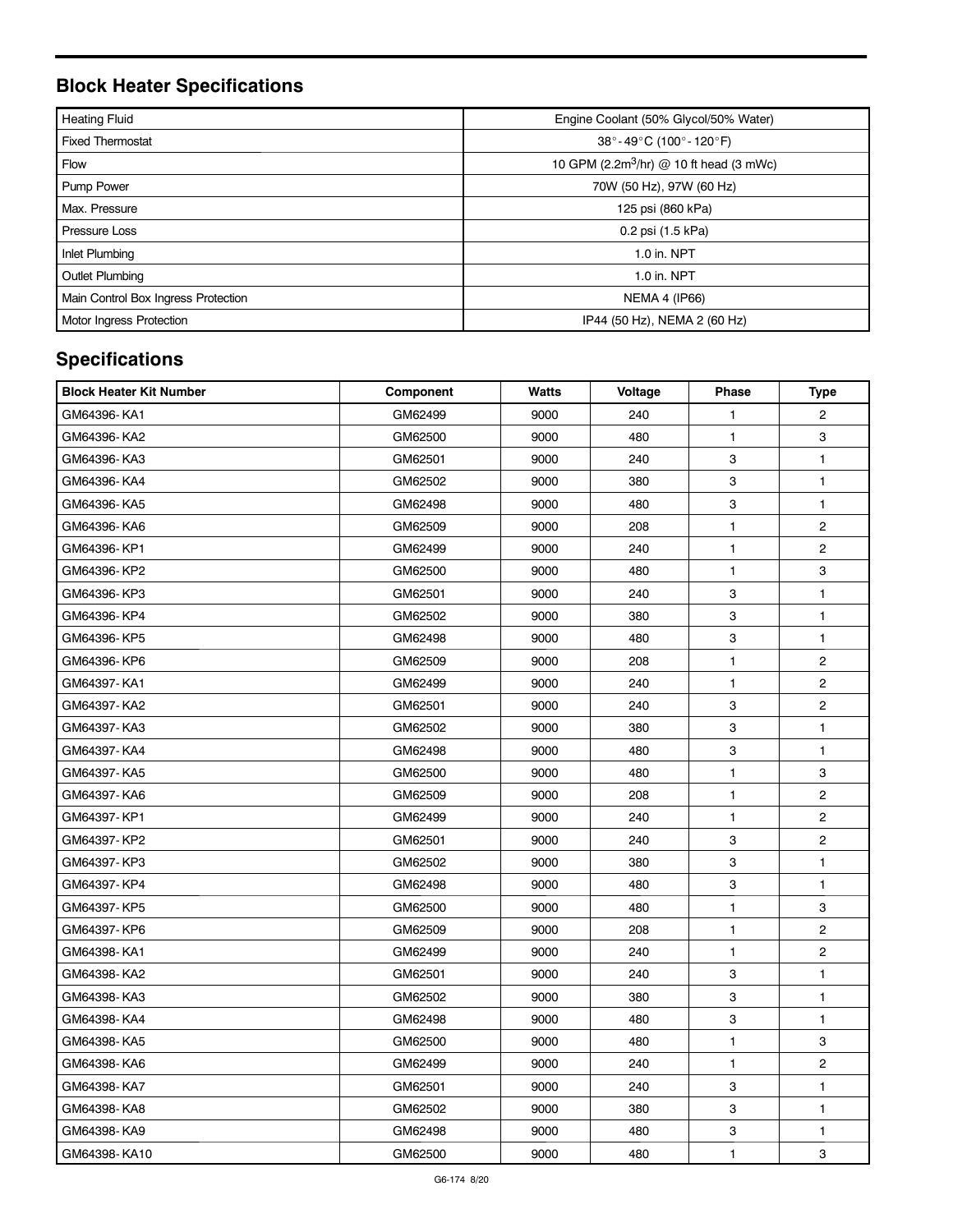# **Block Heater Specifications**

| <b>Heating Fluid</b>                | Engine Coolant (50% Glycol/50% Water)               |  |  |  |
|-------------------------------------|-----------------------------------------------------|--|--|--|
| <b>Fixed Thermostat</b>             | 38°-49°C (100°-120°F)                               |  |  |  |
| <b>Flow</b>                         | 10 GPM (2.2m <sup>3</sup> /hr) @ 10 ft head (3 mWc) |  |  |  |
| <b>Pump Power</b>                   | 70W (50 Hz), 97W (60 Hz)                            |  |  |  |
| Max. Pressure                       | 125 psi (860 kPa)                                   |  |  |  |
| <b>Pressure Loss</b>                | 0.2 psi (1.5 kPa)                                   |  |  |  |
| Inlet Plumbing                      | 1.0 in. NPT                                         |  |  |  |
| <b>Outlet Plumbing</b>              | 1.0 in. NPT                                         |  |  |  |
| Main Control Box Ingress Protection | <b>NEMA 4 (IP66)</b>                                |  |  |  |
| Motor Ingress Protection            | IP44 (50 Hz), NEMA 2 (60 Hz)                        |  |  |  |

# **Specifications**

| <b>Block Heater Kit Number</b> | Component | Watts | Voltage | Phase        | <b>Type</b>             |
|--------------------------------|-----------|-------|---------|--------------|-------------------------|
| GM64396-KA1                    | GM62499   | 9000  | 240     | $\mathbf{1}$ | $\overline{2}$          |
| GM64396-KA2                    | GM62500   | 9000  | 480     | $\mathbf{1}$ | 3                       |
| GM64396-KA3                    | GM62501   | 9000  | 240     | 3            | 1                       |
| GM64396-KA4                    | GM62502   | 9000  | 380     | 3            | $\mathbf{1}$            |
| GM64396- KA5                   | GM62498   | 9000  | 480     | 3            | 1                       |
| GM64396- KA6                   | GM62509   | 9000  | 208     | $\mathbf{1}$ | $\overline{2}$          |
| GM64396-KP1                    | GM62499   | 9000  | 240     | $\mathbf{1}$ | $\overline{2}$          |
| GM64396-KP2                    | GM62500   | 9000  | 480     | $\mathbf{1}$ | 3                       |
| GM64396-KP3                    | GM62501   | 9000  | 240     | 3            | $\mathbf{1}$            |
| GM64396-KP4                    | GM62502   | 9000  | 380     | 3            | $\mathbf{1}$            |
| GM64396-KP5                    | GM62498   | 9000  | 480     | 3            | $\mathbf{1}$            |
| GM64396-KP6                    | GM62509   | 9000  | 208     | $\mathbf{1}$ | $\overline{2}$          |
| GM64397-KA1                    | GM62499   | 9000  | 240     | $\mathbf{1}$ | $\overline{2}$          |
| GM64397-KA2                    | GM62501   | 9000  | 240     | 3            | $\overline{\mathbf{c}}$ |
| GM64397- KA3                   | GM62502   | 9000  | 380     | 3            | $\mathbf{1}$            |
| GM64397-KA4                    | GM62498   | 9000  | 480     | 3            | 1                       |
| GM64397-KA5                    | GM62500   | 9000  | 480     | $\mathbf{1}$ | 3                       |
| GM64397-KA6                    | GM62509   | 9000  | 208     | 1            | $\overline{2}$          |
| GM64397-KP1                    | GM62499   | 9000  | 240     | $\mathbf{1}$ | $\overline{2}$          |
| GM64397-KP2                    | GM62501   | 9000  | 240     | 3            | $\overline{c}$          |
| GM64397-KP3                    | GM62502   | 9000  | 380     | 3            | $\mathbf{1}$            |
| GM64397-KP4                    | GM62498   | 9000  | 480     | 3            | 1                       |
| GM64397-KP5                    | GM62500   | 9000  | 480     | $\mathbf{1}$ | 3                       |
| GM64397-KP6                    | GM62509   | 9000  | 208     | $\mathbf{1}$ | $\overline{2}$          |
| GM64398-KA1                    | GM62499   | 9000  | 240     | $\mathbf{1}$ | $\overline{2}$          |
| GM64398-KA2                    | GM62501   | 9000  | 240     | 3            | $\mathbf{1}$            |
| GM64398- KA3                   | GM62502   | 9000  | 380     | 3            | 1                       |
| GM64398- KA4                   | GM62498   | 9000  | 480     | 3            | $\mathbf{1}$            |
| GM64398-KA5                    | GM62500   | 9000  | 480     | $\mathbf{1}$ | 3                       |
| GM64398-KA6                    | GM62499   | 9000  | 240     | $\mathbf{1}$ | $\overline{c}$          |
| GM64398-KA7                    | GM62501   | 9000  | 240     | 3            | 1                       |
| GM64398-KA8                    | GM62502   | 9000  | 380     | 3            | $\mathbf{1}$            |
| GM64398-KA9                    | GM62498   | 9000  | 480     | 3            | 1                       |
| GM64398-KA10                   | GM62500   | 9000  | 480     | $\mathbf{1}$ | 3                       |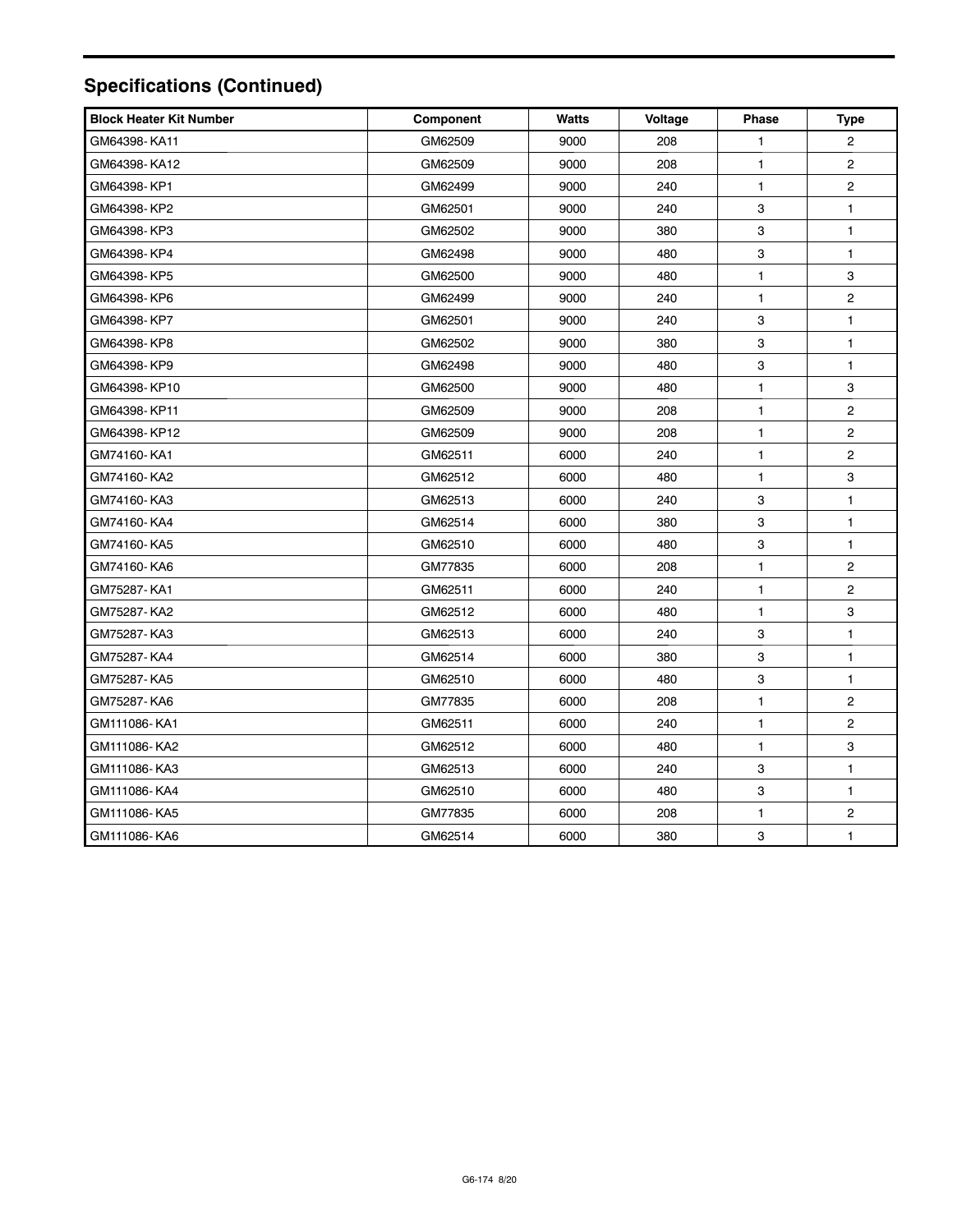# **Specifications (Continued)**

| <b>Block Heater Kit Number</b> | Component | <b>Watts</b> | Voltage | <b>Phase</b> | <b>Type</b>             |
|--------------------------------|-----------|--------------|---------|--------------|-------------------------|
| GM64398-KA11                   | GM62509   | 9000         | 208     | 1            | $\overline{c}$          |
| GM64398-KA12                   | GM62509   | 9000         | 208     | 1            | $\overline{2}$          |
| GM64398-KP1                    | GM62499   | 9000         | 240     | 1            | $\overline{c}$          |
| GM64398-KP2                    | GM62501   | 9000         | 240     | 3            | $\mathbf{1}$            |
| GM64398-KP3                    | GM62502   | 9000         | 380     | 3            | $\mathbf{1}$            |
| GM64398-KP4                    | GM62498   | 9000         | 480     | 3            | $\mathbf{1}$            |
| GM64398-KP5                    | GM62500   | 9000         | 480     | 1            | 3                       |
| GM64398-KP6                    | GM62499   | 9000         | 240     | 1            | $\overline{\mathbf{c}}$ |
| GM64398-KP7                    | GM62501   | 9000         | 240     | 3            | $\mathbf{1}$            |
| GM64398-KP8                    | GM62502   | 9000         | 380     | 3            | $\mathbf{1}$            |
| GM64398-KP9                    | GM62498   | 9000         | 480     | 3            | $\mathbf{1}$            |
| GM64398-KP10                   | GM62500   | 9000         | 480     | 1            | 3                       |
| GM64398-KP11                   | GM62509   | 9000         | 208     | 1            | $\overline{c}$          |
| GM64398-KP12                   | GM62509   | 9000         | 208     | 1            | $\overline{c}$          |
| GM74160-KA1                    | GM62511   | 6000         | 240     | 1            | $\overline{c}$          |
| GM74160-KA2                    | GM62512   | 6000         | 480     | 1            | 3                       |
| GM74160-KA3                    | GM62513   | 6000         | 240     | 3            | 1                       |
| GM74160-KA4                    | GM62514   | 6000         | 380     | 3            | $\mathbf{1}$            |
| GM74160-KA5                    | GM62510   | 6000         | 480     | 3            | $\mathbf{1}$            |
| GM74160-KA6                    | GM77835   | 6000         | 208     | 1            | $\overline{c}$          |
| GM75287-KA1                    | GM62511   | 6000         | 240     | 1            | $\overline{c}$          |
| GM75287-KA2                    | GM62512   | 6000         | 480     | 1            | 3                       |
| GM75287- KA3                   | GM62513   | 6000         | 240     | 3            | $\mathbf{1}$            |
| GM75287- KA4                   | GM62514   | 6000         | 380     | 3            | $\mathbf{1}$            |
| GM75287- KA5                   | GM62510   | 6000         | 480     | 3            | $\mathbf{1}$            |
| GM75287- KA6                   | GM77835   | 6000         | 208     | 1            | $\overline{c}$          |
| GM111086-KA1                   | GM62511   | 6000         | 240     | 1            | $\overline{c}$          |
| GM111086-KA2                   | GM62512   | 6000         | 480     | 1            | 3                       |
| GM111086-KA3                   | GM62513   | 6000         | 240     | 3            | 1                       |
| GM111086-KA4                   | GM62510   | 6000         | 480     | 3            | $\mathbf{1}$            |
| GM111086-KA5                   | GM77835   | 6000         | 208     | 1            | $\overline{\mathbf{c}}$ |
| GM111086-KA6                   | GM62514   | 6000         | 380     | 3            | $\mathbf{1}$            |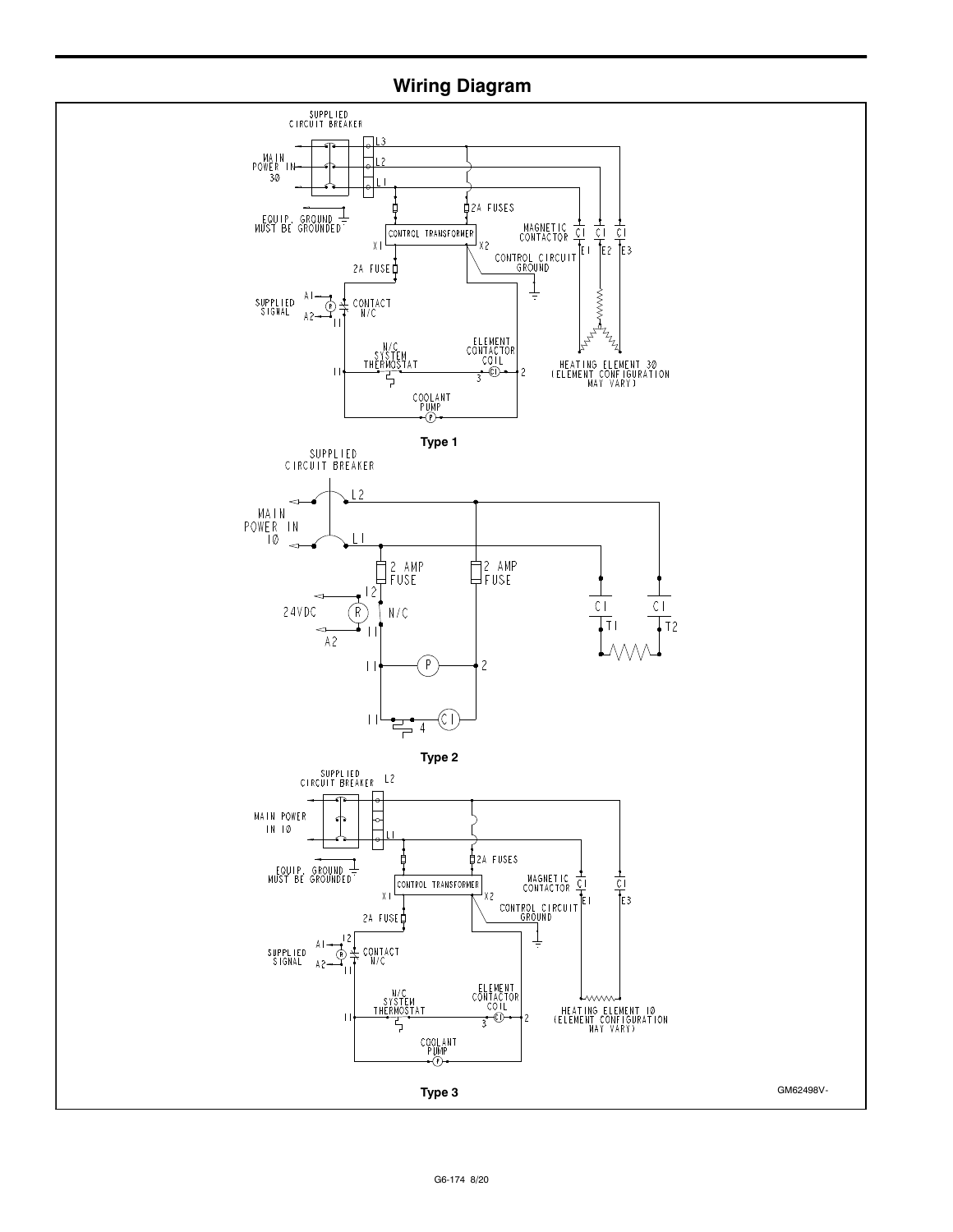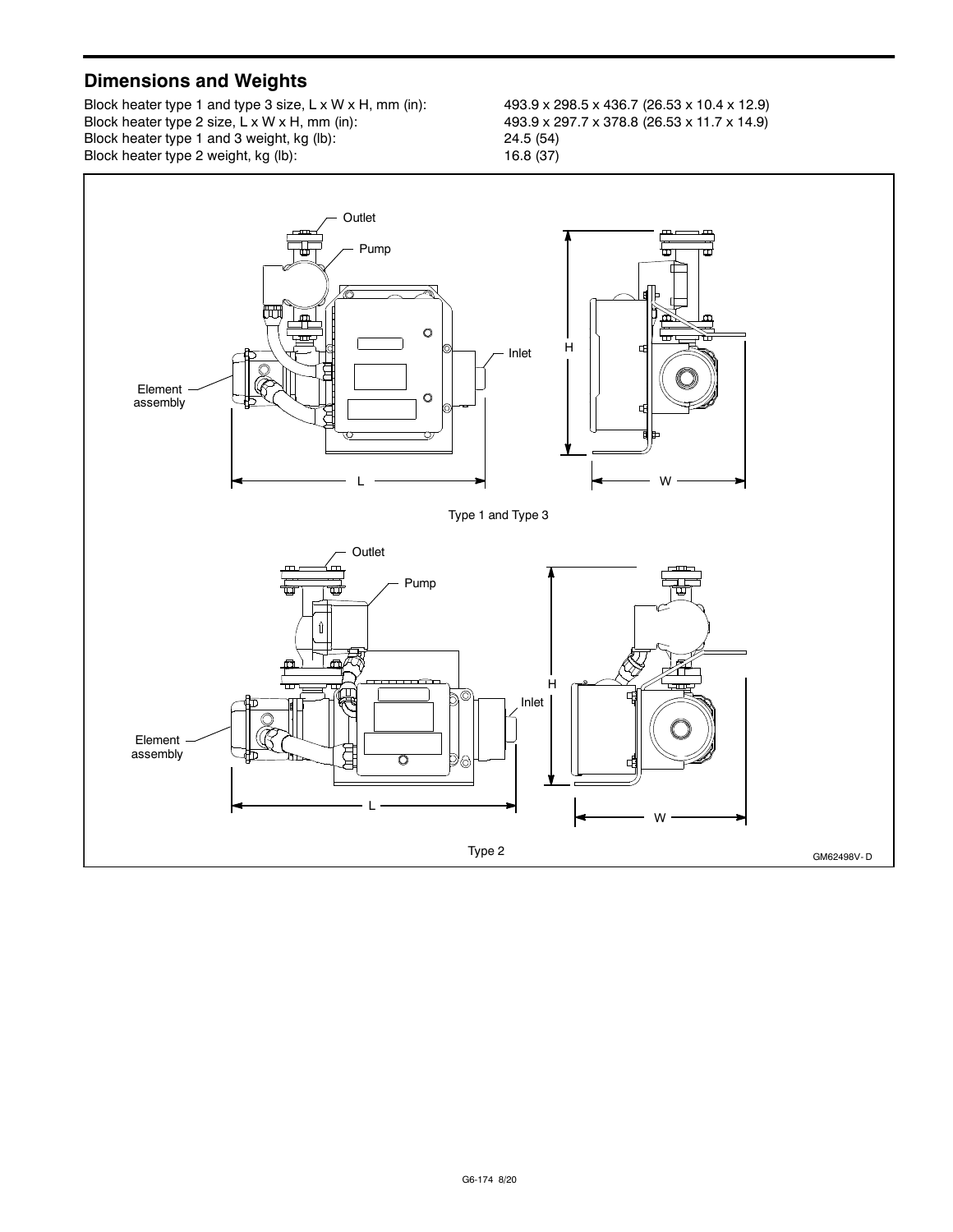### **Dimensions and Weights**

Block heater type 1 and type 3 size, L x W x H, mm (in): 493.9 x 298.5 x 436.7 (26.53 x 10.4 x 12.9)<br>Block heater type 2 size, L x W x H, mm (in): 493.9 x 297.7 x 378.8 (26.53 x 11.7 x 14.9) Block heater type 2 size, L x W x H, mm (in):  $493.9 \times 25$ <br>Block heater type 1 and 3 weight, kg (lb):  $24.5$  (54) Block heater type 1 and 3 weight, kg (lb):<br>
Block heater type 2 weight, kg (lb):<br>
16.8 (37) Block heater type 2 weight,  $kg$  (lb):